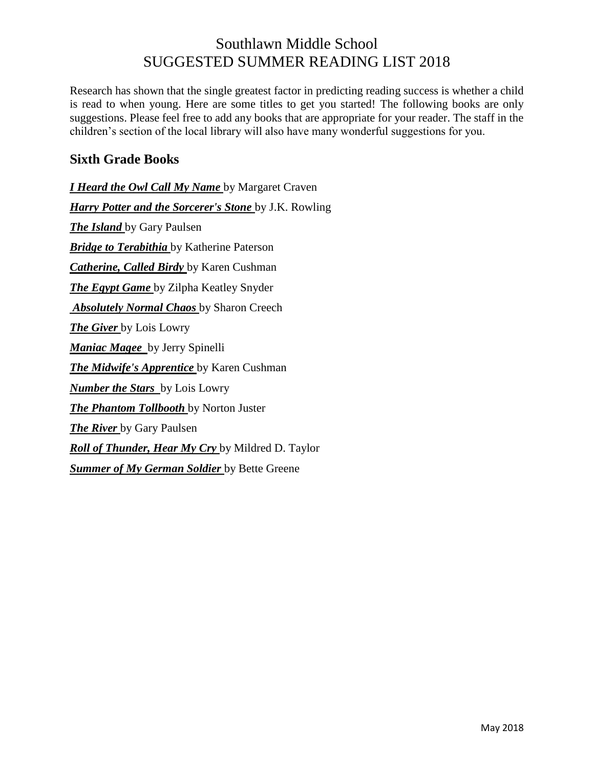# Southlawn Middle School SUGGESTED SUMMER READING LIST 2018

Research has shown that the single greatest factor in predicting reading success is whether a child is read to when young. Here are some titles to get you started! The following books are only suggestions. Please feel free to add any books that are appropriate for your reader. The staff in the children's section of the local library will also have many wonderful suggestions for you.

#### **Sixth Grade Books**

*I Heard the Owl Call My Name* by Margaret Craven *Harry Potter and the Sorcerer's Stone* by J.K. Rowling *The Island* by Gary Paulsen *Bridge to Terabithia* by Katherine Paterson *Catherine, Called Birdy* by Karen Cushman *The Egypt Game* by Zilpha Keatley Snyder *Absolutely Normal Chaos* by Sharon Creech *The Giver* by Lois Lowry *Maniac Magee* by Jerry Spinelli *The Midwife's Apprentice* by Karen Cushman *Number the Stars* by Lois Lowry *The Phantom Tollbooth* by Norton Juster *The River* by Gary Paulsen *Roll of Thunder, Hear My Cry* by Mildred D. Taylor *Summer of My German Soldier* by Bette Greene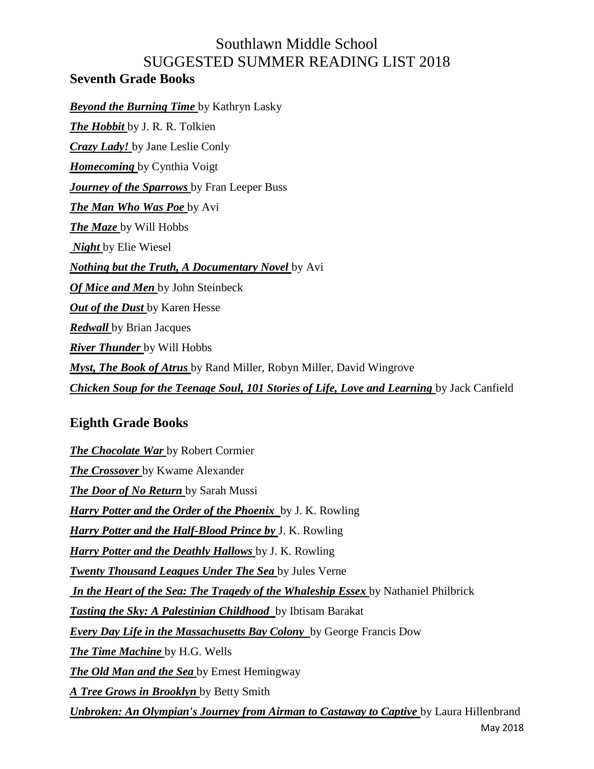# Southlawn Middle School SUGGESTED SUMMER READING LIST 2018

#### **Seventh Grade Books**

*Beyond the Burning Time* by Kathryn Lasky *The Hobbit* by J. R. R. Tolkien *Crazy Lady!* by Jane Leslie Conly *Homecoming* by Cynthia Voigt *Journey of the Sparrows* by Fran Leeper Buss *The Man Who Was Poe* by Avi *The Maze* by Will Hobbs *Night* by Elie Wiesel *Nothing but the Truth, A Documentary Novel* by Avi *Of Mice and Men* by John Steinbeck *Out of the Dust* by Karen Hesse *Redwall* by Brian Jacques *River Thunder* by Will Hobbs *Myst, The Book of Atrus* by Rand Miller, Robyn Miller, David Wingrove **Chicken Soup for the Teenage Soul, 101 Stories of Life, Love and Learning by Jack Canfield** 

## **Eighth Grade Books**

*The Chocolate War* by Robert Cormier *The Crossover* by Kwame Alexander *The Door of No Return* by Sarah Mussi *Harry Potter and the Order of the Phoenix* by J. K. Rowling *Harry Potter and the Half-Blood Prince by* J. K. Rowling *Harry Potter and the Deathly Hallows* by J. K. Rowling *Twenty Thousand Leagues Under The Sea* by Jules Verne *In the Heart of the Sea: The Tragedy of the Whaleship Essex* by Nathaniel Philbrick *Tasting the Sky: A Palestinian Childhood* by Ibtisam Barakat *Every Day Life in the Massachusetts Bay Colony* by George Francis Dow *The Time Machine* by H.G. Wells *The Old Man and the Sea* by Ernest Hemingway *A Tree Grows in Brooklyn* by Betty Smith *Unbroken: An Olympian's Journey from Airman to Castaway to Captive by Laura Hillenbrand*